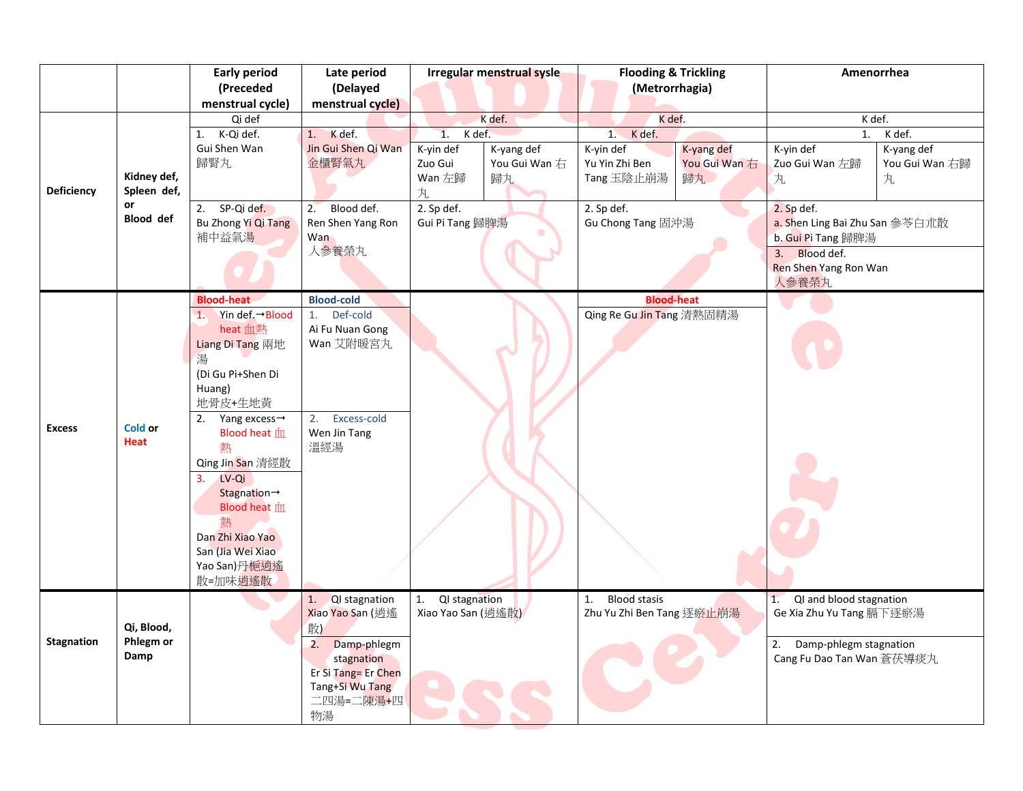|                   |                                 | <b>Early period</b>             | Late period         | Irregular menstrual sysle |  | <b>Flooding &amp; Trickling</b>  |               | Amenorrhea                     |                |  |
|-------------------|---------------------------------|---------------------------------|---------------------|---------------------------|--|----------------------------------|---------------|--------------------------------|----------------|--|
|                   |                                 | (Preceded                       | (Delayed            |                           |  | (Metrorrhagia)                   |               |                                |                |  |
|                   |                                 | menstrual cycle)                | menstrual cycle)    |                           |  |                                  |               |                                |                |  |
|                   |                                 | Qi def                          |                     | K def.                    |  | K def.                           |               | K def.                         |                |  |
|                   |                                 | 1. K-Qi def.                    | 1. K def.           | K def.<br>1.              |  | K def.<br>1.                     |               | K def.<br>1.                   |                |  |
|                   |                                 | Gui Shen Wan                    | Jin Gui Shen Qi Wan | K-yin def<br>K-yang def   |  | K-yin def                        | K-yang def    | K-vin def                      | K-yang def     |  |
|                   |                                 | 歸腎丸                             | 金櫃腎氣丸               | Zuo Gui<br>You Gui Wan 右  |  | Yu Yin Zhi Ben                   | You Gui Wan 右 | Zuo Gui Wan 左歸                 | You Gui Wan 右歸 |  |
|                   | Kidney def,                     |                                 |                     | Wan 左歸<br>歸丸              |  | Tang 玉陰止崩湯                       | 歸丸            | 丸                              | 丸              |  |
| Deficiency        | Spleen def,                     |                                 |                     | 丸                         |  |                                  |               |                                |                |  |
|                   | or<br><b>Blood</b> def          | 2.<br>SP-Qi def.                | 2.<br>Blood def.    | 2. Sp def.                |  | 2. Sp def.                       |               | 2. Sp def.                     |                |  |
|                   |                                 | Bu Zhong Yi Qi Tang             | Ren Shen Yang Ron   | Gui Pi Tang 歸脾湯           |  | Gu Chong Tang 固沖湯                |               | a. Shen Ling Bai Zhu San 参苓白朮散 |                |  |
|                   |                                 | 補中益氣湯                           | Wan                 |                           |  |                                  |               | b. Gui Pi Tang 歸脾湯             |                |  |
|                   |                                 |                                 | 人参養榮丸               |                           |  |                                  |               | Blood def.<br>3.               |                |  |
|                   |                                 |                                 |                     |                           |  |                                  |               | Ren Shen Yang Ron Wan          |                |  |
|                   |                                 |                                 |                     |                           |  |                                  |               | 人参養榮丸                          |                |  |
|                   | Cold or<br><b>Heat</b>          | <b>Blood-heat</b>               | <b>Blood-cold</b>   |                           |  | <b>Blood-heat</b>                |               |                                |                |  |
| <b>Excess</b>     |                                 | 1. Yin def. $\rightarrow$ Blood | 1.<br>Def-cold      |                           |  | <b>Qing Re Gu Jin Tang</b> 清熱固精湯 |               |                                |                |  |
|                   |                                 | heat 血熱                         | Ai Fu Nuan Gong     |                           |  |                                  |               |                                |                |  |
|                   |                                 | Liang Di Tang 兩地                | Wan 艾附暖宮丸           |                           |  |                                  |               |                                |                |  |
|                   |                                 | 湯                               |                     |                           |  |                                  |               |                                |                |  |
|                   |                                 | (Di Gu Pi+Shen Di               |                     |                           |  |                                  |               |                                |                |  |
|                   |                                 | Huang)                          |                     |                           |  |                                  |               |                                |                |  |
|                   |                                 | 地骨皮+生地黄                         |                     |                           |  |                                  |               |                                |                |  |
|                   |                                 | Yang excess $\rightarrow$<br>2. | Excess-cold<br>2.   |                           |  |                                  |               |                                |                |  |
|                   |                                 | Blood heat m                    | Wen Jin Tang<br>溫經湯 |                           |  |                                  |               |                                |                |  |
|                   |                                 | 熱                               |                     |                           |  |                                  |               |                                |                |  |
|                   |                                 | Qing Jin San 清經散                |                     |                           |  |                                  |               |                                |                |  |
|                   |                                 | LV-Qi<br>3.                     |                     |                           |  |                                  |               |                                |                |  |
|                   |                                 | Stagnation→<br>Blood heat m     |                     |                           |  |                                  |               |                                |                |  |
|                   |                                 | 熱                               |                     |                           |  |                                  |               |                                |                |  |
|                   |                                 | Dan Zhi Xiao Yao                |                     |                           |  |                                  |               |                                |                |  |
|                   |                                 | San (Jia Wei Xiao               |                     |                           |  |                                  |               |                                |                |  |
|                   |                                 | Yao San)丹梔逍遙                    |                     |                           |  |                                  |               |                                |                |  |
|                   |                                 | 散=加味逍遙散                         |                     |                           |  |                                  |               |                                |                |  |
|                   |                                 |                                 | QI stagnation<br>1. | QI stagnation<br>1.       |  | <b>Blood stasis</b><br>1.        |               | QI and blood stagnation<br>1.  |                |  |
| <b>Stagnation</b> | Qi, Blood,<br>Phlegm or<br>Damp |                                 | Xiao Yao San (逍遙    | Xiao Yao San (逍遙散)        |  | Zhu Yu Zhi Ben Tang 逐瘀止崩湯        |               | Ge Xia Zhu Yu Tang 膈下逐瘀湯       |                |  |
|                   |                                 |                                 | 散)                  |                           |  |                                  |               |                                |                |  |
|                   |                                 |                                 | Damp-phlegm<br>2.   |                           |  |                                  |               | Damp-phlegm stagnation<br>2.   |                |  |
|                   |                                 |                                 | stagnation          |                           |  |                                  |               | Cang Fu Dao Tan Wan 蒼茯導痰丸      |                |  |
|                   |                                 |                                 | Er Si Tang= Er Chen |                           |  |                                  |               |                                |                |  |
|                   |                                 |                                 | Tang+Si Wu Tang     |                           |  |                                  |               |                                |                |  |
|                   |                                 |                                 | 二四湯=二陳湯+四           |                           |  |                                  |               |                                |                |  |
|                   |                                 |                                 | 物湯                  |                           |  |                                  |               |                                |                |  |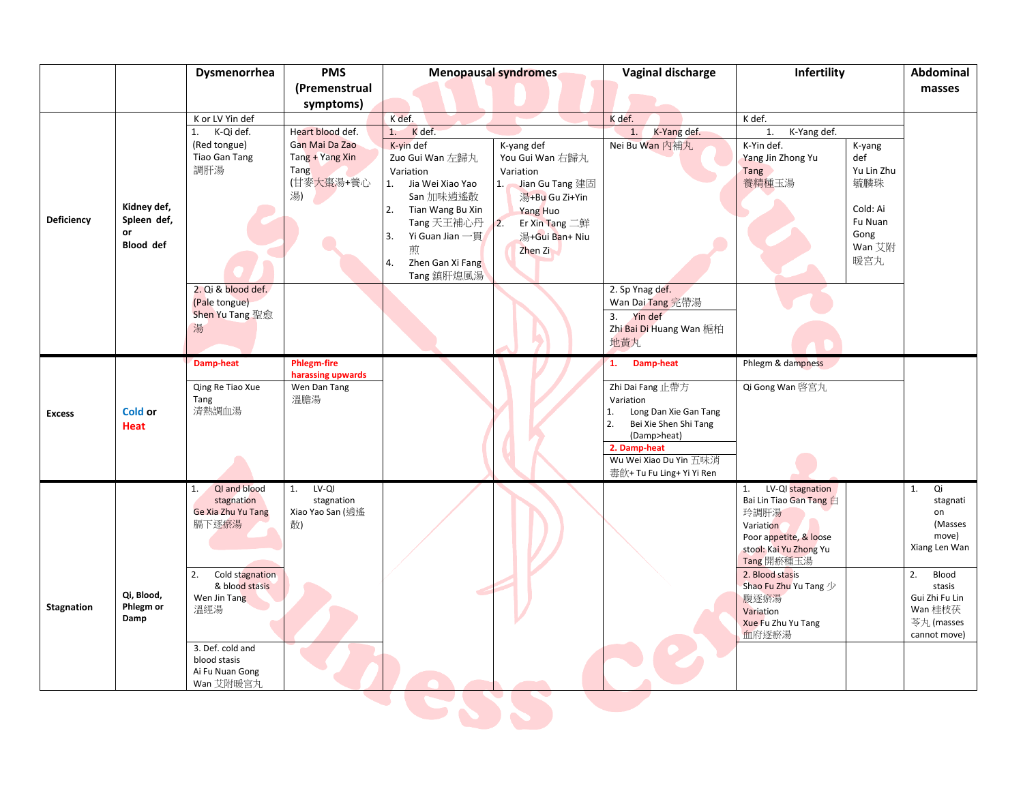|                   |                                                      | Dysmenorrhea                                                                                                                                                                                          | <b>PMS</b>                                                   | <b>Menopausal syndromes</b>                                                                                                                                                      |                                                                                                                                                                            | Vaginal discharge                                                                                                                                                                 | Infertility                                                                                                                                                                                                                              |                                                                                    | Abdominal                                                                                                                                           |
|-------------------|------------------------------------------------------|-------------------------------------------------------------------------------------------------------------------------------------------------------------------------------------------------------|--------------------------------------------------------------|----------------------------------------------------------------------------------------------------------------------------------------------------------------------------------|----------------------------------------------------------------------------------------------------------------------------------------------------------------------------|-----------------------------------------------------------------------------------------------------------------------------------------------------------------------------------|------------------------------------------------------------------------------------------------------------------------------------------------------------------------------------------------------------------------------------------|------------------------------------------------------------------------------------|-----------------------------------------------------------------------------------------------------------------------------------------------------|
|                   |                                                      |                                                                                                                                                                                                       | (Premenstrual                                                |                                                                                                                                                                                  |                                                                                                                                                                            |                                                                                                                                                                                   |                                                                                                                                                                                                                                          |                                                                                    | masses                                                                                                                                              |
|                   |                                                      |                                                                                                                                                                                                       | symptoms)                                                    |                                                                                                                                                                                  |                                                                                                                                                                            |                                                                                                                                                                                   |                                                                                                                                                                                                                                          |                                                                                    |                                                                                                                                                     |
|                   |                                                      | K or LV Yin def                                                                                                                                                                                       |                                                              |                                                                                                                                                                                  | K def.                                                                                                                                                                     |                                                                                                                                                                                   | K def.                                                                                                                                                                                                                                   |                                                                                    |                                                                                                                                                     |
|                   |                                                      | 1.<br>K-Qi def.                                                                                                                                                                                       | Heart blood def.                                             | K def.<br>1.                                                                                                                                                                     |                                                                                                                                                                            | K-Yang def.<br>1.                                                                                                                                                                 | 1.<br>K-Yang def.                                                                                                                                                                                                                        |                                                                                    |                                                                                                                                                     |
| <b>Deficiency</b> | Kidney def,<br>Spleen def,<br>or<br><b>Blood</b> def | (Red tongue)<br>Tiao Gan Tang<br>調肝湯                                                                                                                                                                  | Gan Mai Da Zao<br>Tang + Yang Xin<br>Tang<br>(甘麥大棗湯+養心<br>湯) | K-vin def<br>Zuo Gui Wan 左歸丸<br>Variation<br>1.<br>Jia Wei Xiao Yao<br>San 加味逍遙散<br>2.<br>Tian Wang Bu Xin<br>Tang 天王補心丹<br>Yi Guan Jian 一貫<br>3.<br>煎<br>Zhen Gan Xi Fang<br>4. | K-yang def<br>You Gui Wan 右歸丸<br>Variation<br>1. Jian Gu Tang 建固<br>湯+Bu Gu Zi+Yin<br>Yang Huo<br>$\overline{2}$ .<br>Er Xin Tang $\equiv$ ##<br>湯+Gui Ban+ Niu<br>Zhen Zi | Nei Bu Wan 内補丸                                                                                                                                                                    | K-Yin def.<br>Yang Jin Zhong Yu<br>Tang<br>養精種玉湯                                                                                                                                                                                         | K-yang<br>def<br>Yu Lin Zhu<br>毓麟珠<br>Cold: Ai<br>Fu Nuan<br>Gong<br>Wan 艾附<br>暖宮丸 |                                                                                                                                                     |
|                   |                                                      | 2. Qi & blood def.<br>(Pale tongue)<br>Shen Yu Tang 聖愈<br>湯                                                                                                                                           |                                                              | Tang 鎮肝熄風湯                                                                                                                                                                       |                                                                                                                                                                            | 2. Sp Ynag def.<br>Wan Dai Tang 完帶湯<br>3. Yin def<br>Zhi Bai Di Huang Wan 梔柏<br>地黄丸                                                                                               |                                                                                                                                                                                                                                          |                                                                                    |                                                                                                                                                     |
|                   |                                                      | <b>Damp-heat</b>                                                                                                                                                                                      | <b>Phlegm-fire</b><br>harassing upwards                      |                                                                                                                                                                                  |                                                                                                                                                                            | 1. Damp-heat                                                                                                                                                                      | Phlegm & dampness                                                                                                                                                                                                                        |                                                                                    |                                                                                                                                                     |
| <b>Excess</b>     | <b>Cold or</b><br>Heat                               | Qing Re Tiao Xue<br>Tang<br>清熱調血湯                                                                                                                                                                     | Wen Dan Tang<br>溫膽湯                                          |                                                                                                                                                                                  |                                                                                                                                                                            | Zhi Dai Fang 止帶方<br>Variation<br>Long Dan Xie Gan Tang<br>1.<br>2.<br>Bei Xie Shen Shi Tang<br>(Damp>heat)<br>2. Damp-heat<br>Wu Wei Xiao Du Yin 五味消<br>毒飲+ Tu Fu Ling+ Yi Yi Ren | Qi Gong Wan 啓宮丸                                                                                                                                                                                                                          |                                                                                    |                                                                                                                                                     |
| <b>Stagnation</b> | Qi, Blood,<br>Phlegm or<br>Damp                      | QI and blood<br>1.<br>stagnation<br>Ge Xia Zhu Yu Tang<br>膈下逐瘀湯<br>Cold stagnation<br>2.<br>& blood stasis<br>Wen Jin Tang<br>溫經湯<br>3. Def. cold and<br>blood stasis<br>Ai Fu Nuan Gong<br>Wan 艾附暖宮丸 | LV-QI<br>1.<br>stagnation<br>Xiao Yao San (逍遙<br>散)          |                                                                                                                                                                                  |                                                                                                                                                                            |                                                                                                                                                                                   | LV-QI stagnation<br>1.<br>Bai Lin Tiao Gan Tang 白<br>玲調肝湯<br>Variation<br>Poor appetite, & loose<br>stool: Kai Yu Zhong Yu<br>Tang 開瘀種玉湯<br>2. Blood stasis<br>Shao Fu Zhu Yu Tang 少<br>腹逐瘀湯<br>Variation<br>Xue Fu Zhu Yu Tang<br>血府逐瘀湯 |                                                                                    | 1.<br>Qi<br>stagnati<br>on<br>(Masses<br>move)<br>Xiang Len Wan<br>2.<br>Blood<br>stasis<br>Gui Zhi Fu Lin<br>Wan 桂枝茯<br>芩丸 (masses<br>cannot move) |
|                   |                                                      |                                                                                                                                                                                                       |                                                              |                                                                                                                                                                                  |                                                                                                                                                                            |                                                                                                                                                                                   |                                                                                                                                                                                                                                          |                                                                                    |                                                                                                                                                     |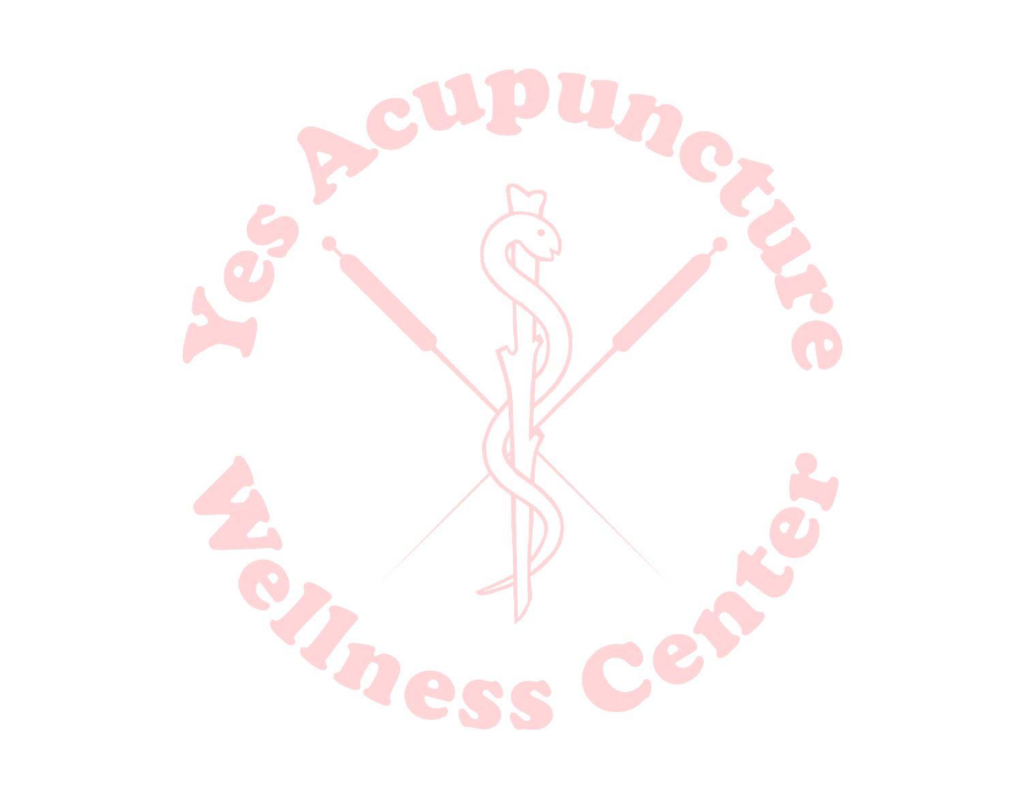